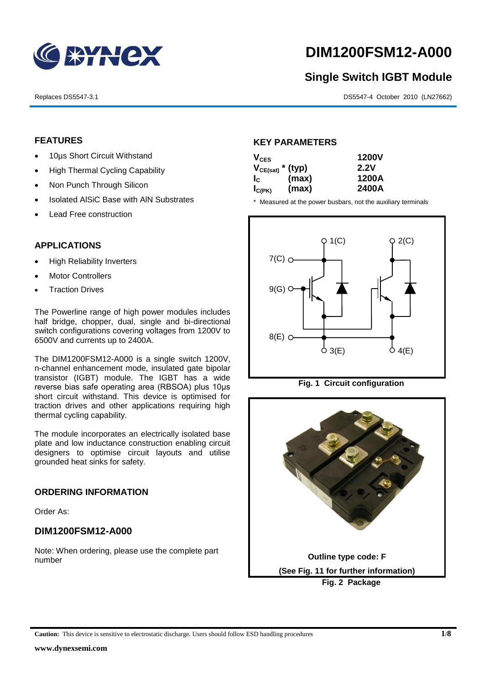

# **DIM1200FSM12-A000**

# **Single Switch IGBT Module**

Replaces DS5547-3.1 DS5547-4 October 2010 (LN27662)

## **FEATURES**

- 10µs Short Circuit Withstand
- High Thermal Cycling Capability
- Non Punch Through Silicon
- Isolated AISiC Base with AIN Substrates
- Lead Free construction

## **APPLICATIONS**

- High Reliability Inverters
- Motor Controllers
- Traction Drives

The Powerline range of high power modules includes half bridge, chopper, dual, single and bi-directional switch configurations covering voltages from 1200V to 6500V and currents up to 2400A.

The DIM1200FSM12-A000 is a single switch 1200V, n-channel enhancement mode, insulated gate bipolar transistor (IGBT) module. The IGBT has a wide reverse bias safe operating area (RBSOA) plus 10μs short circuit withstand. This device is optimised for traction drives and other applications requiring high thermal cycling capability.

The module incorporates an electrically isolated base plate and low inductance construction enabling circuit designers to optimise circuit layouts and utilise grounded heat sinks for safety.

## **ORDERING INFORMATION**

Order As:

## **DIM1200FSM12-A000**

Note: When ordering, please use the complete part number

#### **KEY PARAMETERS**

| $V_{CES}$             |       | <b>1200V</b> |
|-----------------------|-------|--------------|
| $V_{CE(sat)}$ * (typ) |       | 2.2V         |
| $I_{\rm C}$           | (max) | 1200A        |
| $I_{C(PK)}$           | (max) | 2400A        |

\* Measured at the power busbars, not the auxiliary terminals





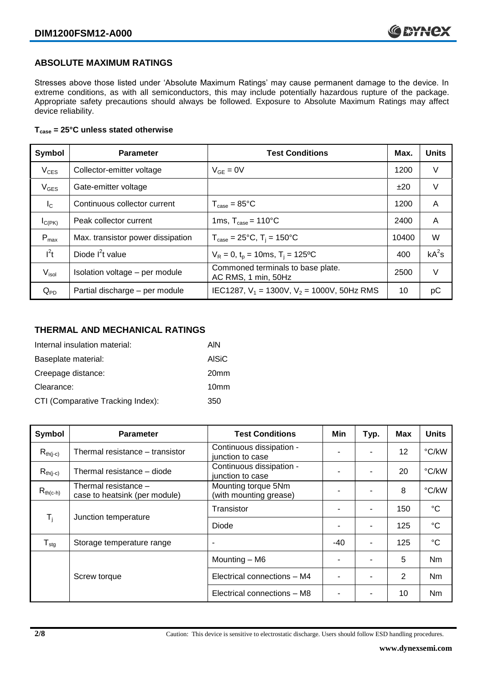## **ABSOLUTE MAXIMUM RATINGS**

Stresses above those listed under 'Absolute Maximum Ratings' may cause permanent damage to the device. In extreme conditions, as with all semiconductors, this may include potentially hazardous rupture of the package. Appropriate safety precautions should always be followed. Exposure to Absolute Maximum Ratings may affect device reliability.

#### **Tcase = 25°C unless stated otherwise**

| Symbol            | <b>Parameter</b>                  | <b>Test Conditions</b>                                   |       | <b>Units</b> |
|-------------------|-----------------------------------|----------------------------------------------------------|-------|--------------|
| $V_{CES}$         | Collector-emitter voltage         | $V_{GF} = 0V$                                            | 1200  | V            |
| $V_{GES}$         | Gate-emitter voltage              |                                                          | ±20   | V            |
| $I_{\rm C}$       | Continuous collector current      | $T_{\text{case}} = 85^{\circ}$ C                         | 1200  | A            |
| $I_{C(PK)}$       | Peak collector current            | 1ms, $T_{\text{case}} = 110^{\circ}$ C                   | 2400  | A            |
| $P_{max}$         | Max. transistor power dissipation | $T_{\text{case}} = 25^{\circ}C$ , $T_i = 150^{\circ}C$   | 10400 | W            |
| $I^2t$            | Diode $I^2t$ value                | $V_R = 0$ , $t_p = 10$ ms, $T_i = 125$ °C                | 400   | $kA^2s$      |
| V <sub>isol</sub> | Isolation voltage - per module    | Commoned terminals to base plate.<br>AC RMS, 1 min, 50Hz | 2500  | V            |
| $Q_{PD}$          | Partial discharge - per module    | IEC1287, $V_1$ = 1300V, $V_2$ = 1000V, 50Hz RMS          | 10    | рC           |

#### **THERMAL AND MECHANICAL RATINGS**

| Internal insulation material:     | AIN              |
|-----------------------------------|------------------|
| Baseplate material:               | <b>AISiC</b>     |
| Creepage distance:                | 20 <sub>mm</sub> |
| Clearance:                        | 10 <sub>mm</sub> |
| CTI (Comparative Tracking Index): | 350              |

| Symbol                       | <b>Parameter</b>                                      | <b>Test Conditions</b>                        | Min | Typ. | Max | <b>Units</b> |
|------------------------------|-------------------------------------------------------|-----------------------------------------------|-----|------|-----|--------------|
| $R_{th(i-c)}$                | Thermal resistance – transistor                       | Continuous dissipation -<br>junction to case  |     |      | 12  | °C/kW        |
| $R_{th(j-c)}$                | Thermal resistance - diode                            | Continuous dissipation -<br>junction to case  |     |      | 20  | °C/kW        |
| $R_{th(c-h)}$                | Thermal resistance -<br>case to heatsink (per module) | Mounting torque 5Nm<br>(with mounting grease) |     |      | 8   | °C/kW        |
| $\mathsf{T}_{\mathsf{i}}$    | Junction temperature                                  | Transistor                                    |     | ۰    | 150 | $^{\circ}C$  |
|                              |                                                       | Diode                                         |     | ۰    | 125 | $^{\circ}C$  |
| ${\mathsf T}_{\textsf{stg}}$ | Storage temperature range                             | $\overline{\phantom{a}}$                      | -40 |      | 125 | $^{\circ}C$  |
|                              |                                                       | Mounting - M6                                 |     |      | 5   | Nm           |
|                              | Screw torque                                          | Electrical connections - M4                   |     |      | 2   | Nm           |
|                              |                                                       | Electrical connections - M8                   | ٠   | ۰    | 10  | <b>Nm</b>    |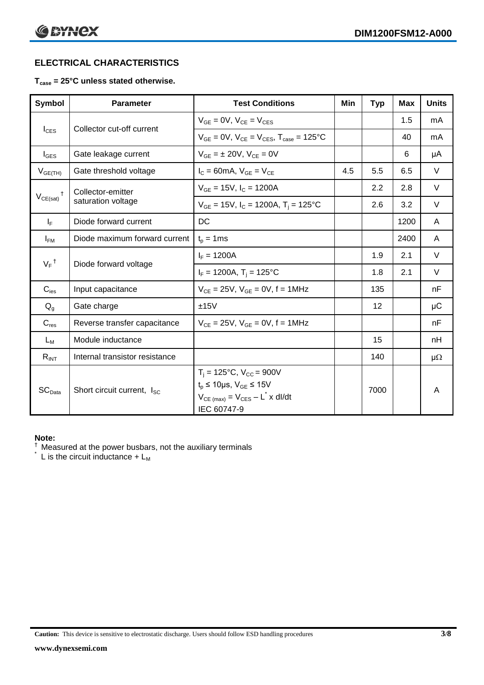# **ELECTRICAL CHARACTERISTICS**

#### **Tcase = 25°C unless stated otherwise.**

| Symbol                                      | <b>Parameter</b>                       | <b>Test Conditions</b>                                                                                                                                 | Min | <b>Typ</b> | <b>Max</b> | <b>Units</b> |
|---------------------------------------------|----------------------------------------|--------------------------------------------------------------------------------------------------------------------------------------------------------|-----|------------|------------|--------------|
| $I_{CES}$                                   | Collector cut-off current              | $V_{GF} = 0V$ , $V_{CF} = V_{CES}$                                                                                                                     |     |            | 1.5        | mA           |
|                                             |                                        | $V_{GF} = 0V$ , $V_{CF} = V_{CES}$ , $T_{case} = 125^{\circ}C$                                                                                         |     |            | 40         | mA           |
| $I_{\text{GES}}$                            | Gate leakage current                   | $V_{GF} = \pm 20V$ , $V_{CF} = 0V$                                                                                                                     |     |            | 6          | μA           |
| $V_{GE(TH)}$                                | Gate threshold voltage                 | $I_c = 60mA$ , $V_{GE} = V_{CE}$                                                                                                                       | 4.5 | 5.5        | 6.5        | V            |
|                                             | Collector-emitter                      | $V_{GE}$ = 15V, $I_C$ = 1200A                                                                                                                          |     | 2.2        | 2.8        | V            |
| $V_{CE(sat)}$                               | saturation voltage                     | $V_{GE}$ = 15V, $I_C$ = 1200A, $T_i$ = 125°C                                                                                                           |     | 2.6        | 3.2        | $\vee$       |
| $I_F$                                       | Diode forward current                  | DC                                                                                                                                                     |     |            | 1200       | A            |
| $I_{FM}$                                    | Diode maximum forward current          | $t_p = 1$ ms                                                                                                                                           |     |            | 2400       | A            |
| $V_F$ <sup>†</sup><br>Diode forward voltage |                                        | $I_F = 1200A$                                                                                                                                          |     | 1.9        | 2.1        | $\vee$       |
|                                             |                                        | $I_F = 1200A$ , $T_i = 125^{\circ}C$                                                                                                                   |     | 1.8        | 2.1        | V            |
| $C_{\mathsf{ies}}$                          | Input capacitance                      | $V_{CE} = 25V$ , $V_{GE} = 0V$ , f = 1MHz                                                                                                              |     | 135        |            | nF           |
| $Q_{g}$                                     | Gate charge                            | ±15V                                                                                                                                                   |     | 12         |            | μC           |
| $C_{res}$                                   | Reverse transfer capacitance           | $V_{CF} = 25V$ , $V_{GF} = 0V$ , f = 1MHz                                                                                                              |     |            |            | nF           |
| $L_M$                                       | Module inductance                      |                                                                                                                                                        |     | 15         |            | nH           |
| $R_{INT}$                                   | Internal transistor resistance         |                                                                                                                                                        |     | 140        |            | $\mu\Omega$  |
| SC <sub>Data</sub>                          | Short circuit current, I <sub>SC</sub> | $T_i = 125$ °C, V <sub>CC</sub> = 900V<br>$t_p \le 10 \mu s$ , $V_{GE} \le 15 V$<br>$V_{CE \text{ (max)}} = V_{CES} - L^* \times dl/dt$<br>IEC 60747-9 |     | 7000       |            | A            |

#### **Note:**

 $\dagger$  Measured at the power busbars, not the auxiliary terminals

 $\check{}$  L is the circuit inductance +  $L_M$ 

**Caution:** This device is sensitive to electrostatic discharge. Users should follow ESD handling procedures **3/8**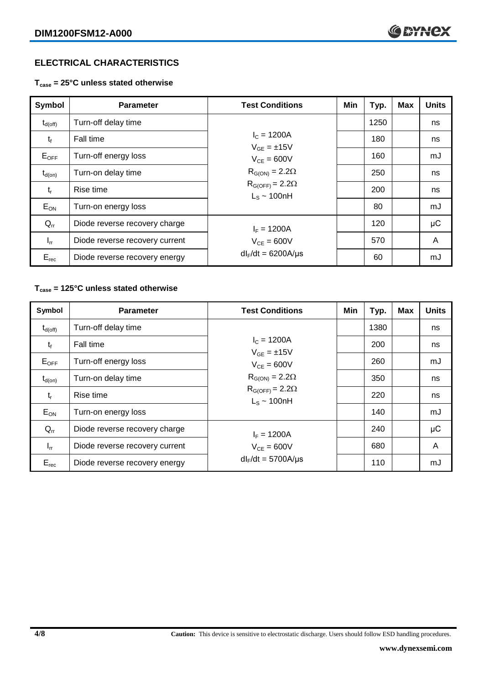# **ELECTRICAL CHARACTERISTICS**

**Tcase = 25°C unless stated otherwise**

| Symbol              | <b>Parameter</b>               | <b>Test Conditions</b>                       | Min | Typ. | <b>Max</b> | <b>Units</b> |
|---------------------|--------------------------------|----------------------------------------------|-----|------|------------|--------------|
| $t_{d(\text{off})}$ | Turn-off delay time            |                                              |     | 1250 |            | ns           |
| $t_{f}$             | Fall time                      | $I_c = 1200A$<br>$V_{GF} = \pm 15V$          |     | 180  |            | ns           |
| $E_{OFF}$           | Turn-off energy loss           | $V_{CF} = 600V$<br>$R_{G(ON)} = 2.2\Omega$   |     | 160  |            | mJ           |
| $t_{d(on)}$         | Turn-on delay time             |                                              |     | 250  |            | ns           |
| $t_{r}$             | Rise time                      | $R_{G(OFF)} = 2.2\Omega$<br>$L_s \sim 100nH$ |     | 200  |            | ns           |
| $E_{ON}$            | Turn-on energy loss            |                                              |     | 80   |            | mJ           |
| $Q_{rr}$            | Diode reverse recovery charge  | $I_F = 1200A$                                |     | 120  |            | μC           |
| $I_{rr}$            | Diode reverse recovery current | $V_{CF} = 600V$                              |     | 570  |            | A            |
| $E_{rec}$           | Diode reverse recovery energy  | $dl_F/dt = 6200A/\mu s$                      |     | 60   |            | mJ           |

#### **Tcase = 125°C unless stated otherwise**

| Symbol              | <b>Parameter</b>               | <b>Test Conditions</b>                       | Min | Typ. | <b>Max</b> | <b>Units</b> |
|---------------------|--------------------------------|----------------------------------------------|-----|------|------------|--------------|
| $t_{d(\text{off})}$ | Turn-off delay time            |                                              |     | 1380 |            | ns           |
| $t_{f}$             | Fall time                      | $I_c = 1200A$<br>$V_{GF} = \pm 15V$          |     | 200  |            | ns           |
| $E_{OFF}$           | Turn-off energy loss           | $V_{CF} = 600V$                              |     | 260  |            | mJ           |
| $t_{d(on)}$         | Turn-on delay time             | $R_{G(ON)} = 2.2\Omega$                      |     | 350  |            | ns           |
| $t_{r}$             | Rise time                      | $R_{G(OFF)} = 2.2\Omega$<br>$L_s \sim 100nH$ |     | 220  |            | ns           |
| $E_{ON}$            | Turn-on energy loss            |                                              |     | 140  |            | mJ           |
| $Q_{rr}$            | Diode reverse recovery charge  | $I_F = 1200A$                                |     | 240  |            | μC           |
| $I_{rr}$            | Diode reverse recovery current | $V_{CE} = 600V$                              |     | 680  |            | A            |
| $E_{rec}$           | Diode reverse recovery energy  | $dl_F/dt = 5700A/\mu s$                      |     | 110  |            | mJ           |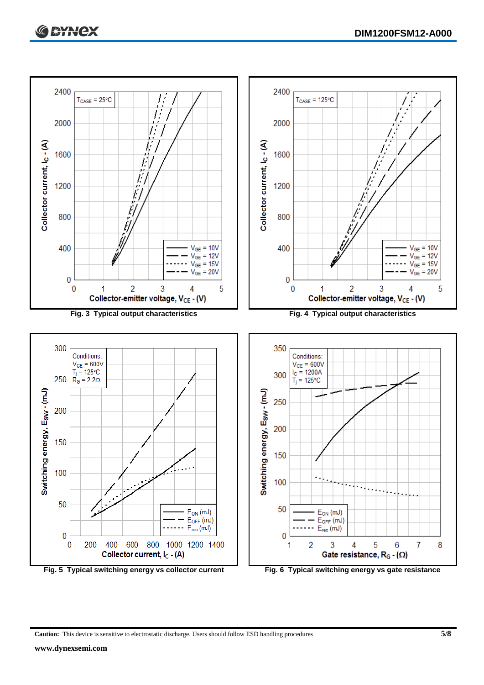

**Caution:** This device is sensitive to electrostatic discharge. Users should follow ESD handling procedures **5/8**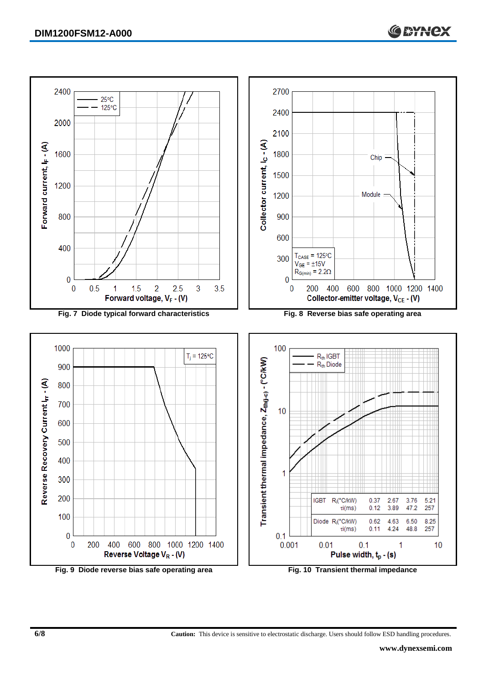

**6/8 Caution:** This device is sensitive to electrostatic discharge. Users should follow ESD handling procedures.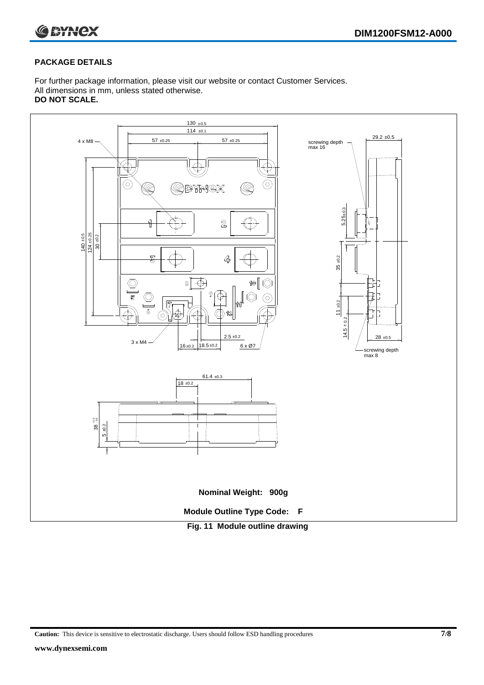

#### **PACKAGE DETAILS**

For further package information, please visit our website or contact Customer Services. All dimensions in mm, unless stated otherwise. **DO NOT SCALE.**



**Caution:** This device is sensitive to electrostatic discharge. Users should follow ESD handling procedures **7/8**